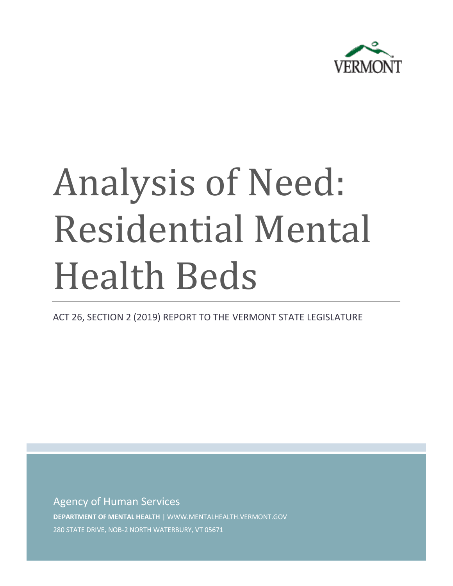

# Analysis of Need: Residential Mental Health Beds

ACT 26, SECTION 2 (2019) REPORT TO THE VERMONT STATE LEGISLATURE

Agency of Human Services **DEPARTMENT OF MENTAL HEALTH** | WWW.MENTALHEALTH.VERMONT.GOV

280 STATE DRIVE, NOB-2 NORTH WATERBURY, VT 05671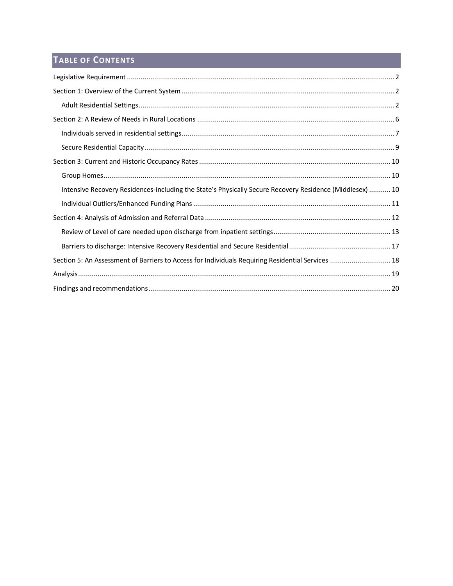# TABLE OF CONTENTS

| Intensive Recovery Residences-including the State's Physically Secure Recovery Residence (Middlesex)  10 |
|----------------------------------------------------------------------------------------------------------|
|                                                                                                          |
|                                                                                                          |
|                                                                                                          |
|                                                                                                          |
| Section 5: An Assessment of Barriers to Access for Individuals Requiring Residential Services  18        |
|                                                                                                          |
|                                                                                                          |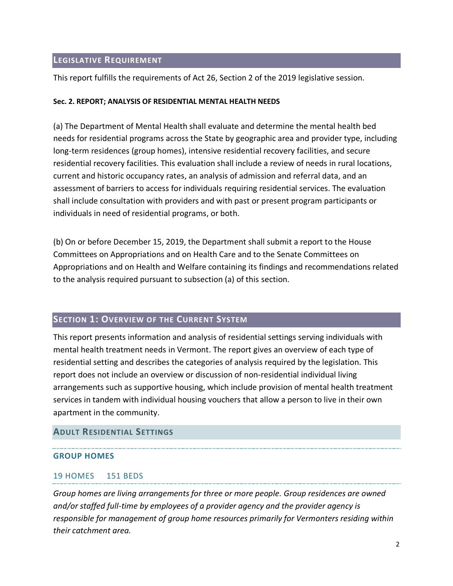#### <span id="page-2-0"></span>**LEGISLATIVE REQUIREMENT**

This report fulfills the requirements of Act 26, Section 2 of the 2019 legislative session.

#### **Sec. 2. REPORT; ANALYSIS OF RESIDENTIAL MENTAL HEALTH NEEDS**

(a) The Department of Mental Health shall evaluate and determine the mental health bed needs for residential programs across the State by geographic area and provider type, including long-term residences (group homes), intensive residential recovery facilities, and secure residential recovery facilities. This evaluation shall include a review of needs in rural locations, current and historic occupancy rates, an analysis of admission and referral data, and an assessment of barriers to access for individuals requiring residential services. The evaluation shall include consultation with providers and with past or present program participants or individuals in need of residential programs, or both.

(b) On or before December 15, 2019, the Department shall submit a report to the House Committees on Appropriations and on Health Care and to the Senate Committees on Appropriations and on Health and Welfare containing its findings and recommendations related to the analysis required pursuant to subsection (a) of this section.

#### <span id="page-2-1"></span>**SECTION 1: OVERVIEW OF THE CURRENT SYSTEM**

This report presents information and analysis of residential settings serving individuals with mental health treatment needs in Vermont. The report gives an overview of each type of residential setting and describes the categories of analysis required by the legislation. This report does not include an overview or discussion of non-residential individual living arrangements such as supportive housing, which include provision of mental health treatment services in tandem with individual housing vouchers that allow a person to live in their own apartment in the community.

#### <span id="page-2-2"></span>**ADULT RESIDENTIAL SETTINGS**

#### **GROUP HOMES**

#### 19 HOMES 151 BEDS

*Group homes are living arrangements for three or more people. Group residences are owned and/or staffed full-time by employees of a provider agency and the provider agency is responsible for management of group home resources primarily for Vermonters residing within their catchment area.*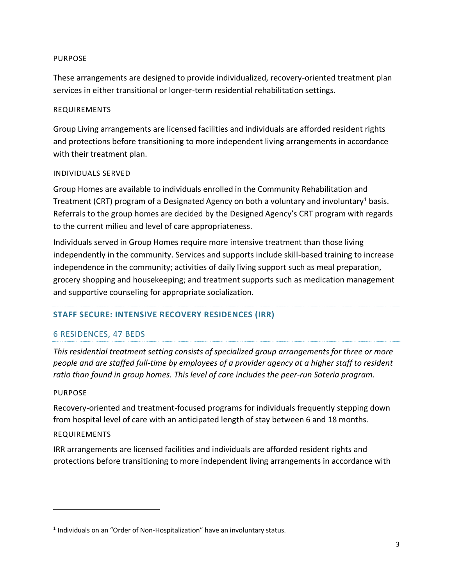#### PURPOSE

These arrangements are designed to provide individualized, recovery-oriented treatment plan services in either transitional or longer-term residential rehabilitation settings.

#### REQUIREMENTS

Group Living arrangements are licensed facilities and individuals are afforded resident rights and protections before transitioning to more independent living arrangements in accordance with their treatment plan.

#### INDIVIDUALS SERVED

Group Homes are available to individuals enrolled in the Community Rehabilitation and Treatment (CRT) program of a Designated Agency on both a voluntary and involuntary<sup>1</sup> basis. Referrals to the group homes are decided by the Designed Agency's CRT program with regards to the current milieu and level of care appropriateness.

Individuals served in Group Homes require more intensive treatment than those living independently in the community. Services and supports include skill-based training to increase independence in the community; activities of daily living support such as meal preparation, grocery shopping and housekeeping; and treatment supports such as medication management and supportive counseling for appropriate socialization.

#### **STAFF SECURE: INTENSIVE RECOVERY RESIDENCES (IRR)**

#### 6 RESIDENCES, 47 BEDS

*This residential treatment setting consists of specialized group arrangements for three or more people and are staffed full-time by employees of a provider agency at a higher staff to resident ratio than found in group homes. This level of care includes the peer-run Soteria program.* 

#### PURPOSE

Recovery-oriented and treatment-focused programs for individuals frequently stepping down from hospital level of care with an anticipated length of stay between 6 and 18 months.

#### REQUIREMENTS

IRR arrangements are licensed facilities and individuals are afforded resident rights and protections before transitioning to more independent living arrangements in accordance with

 $<sup>1</sup>$  Individuals on an "Order of Non-Hospitalization" have an involuntary status.</sup>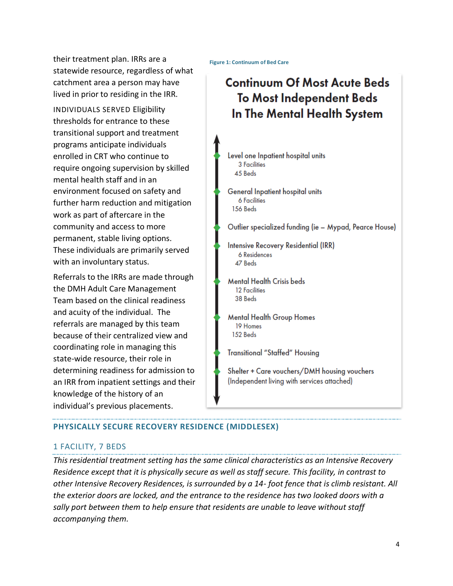their treatment plan. IRRs are a statewide resource, regardless of what catchment area a person may have lived in prior to residing in the IRR.

INDIVIDUALS SERVED Eligibility thresholds for entrance to these transitional support and treatment programs anticipate individuals enrolled in CRT who continue to require ongoing supervision by skilled mental health staff and in an environment focused on safety and further harm reduction and mitigation work as part of aftercare in the community and access to more permanent, stable living options. These individuals are primarily served with an involuntary status.

Referrals to the IRRs are made through the DMH Adult Care Management Team based on the clinical readiness and acuity of the individual. The referrals are managed by this team because of their centralized view and coordinating role in managing this state-wide resource, their role in determining readiness for admission to an IRR from inpatient settings and their knowledge of the history of an individual's previous placements.

**Figure 1: Continuum of Bed Care**

# **Continuum Of Most Acute Beds To Most Independent Beds** In The Mental Health System

Level one Inpatient hospital units 3 Facilities 45 Beds

General Inpatient hospital units **6 Facilities** 156 Beds

Outlier specialized funding (ie – Mypad, Pearce House)

- Intensive Recovery Residential (IRR) 6 Residences 47 Beds
- **Mental Health Crisis beds 12 Facilities** 38 Beds
- **Mental Health Group Homes** 19 Homes 152 Beds

**Transitional "Staffed" Housing** 

Shelter + Care vouchers/DMH housing vouchers (Independent living with services attached)

# **PHYSICALLY SECURE RECOVERY RESIDENCE (MIDDLESEX)**

## 1 FACILITY, 7 BEDS

*This residential treatment setting has the same clinical characteristics as an Intensive Recovery Residence except that it is physically secure as well as staff secure. This facility, in contrast to other Intensive Recovery Residences, is surrounded by a 14- foot fence that is climb resistant. All the exterior doors are locked, and the entrance to the residence has two looked doors with a sally port between them to help ensure that residents are unable to leave without staff accompanying them.*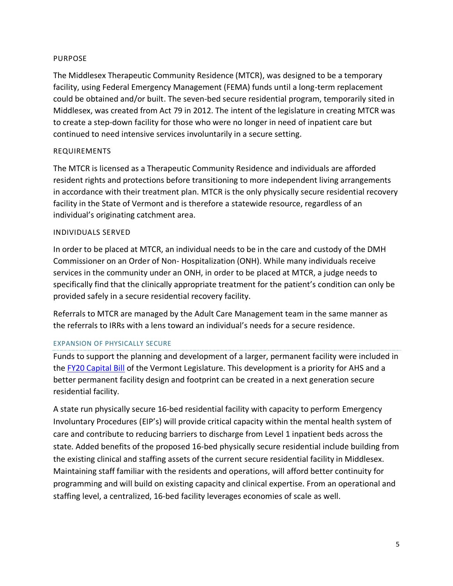#### PURPOSE

The Middlesex Therapeutic Community Residence (MTCR), was designed to be a temporary facility, using Federal Emergency Management (FEMA) funds until a long-term replacement could be obtained and/or built. The seven-bed secure residential program, temporarily sited in Middlesex, was created from Act 79 in 2012. The intent of the legislature in creating MTCR was to create a step-down facility for those who were no longer in need of inpatient care but continued to need intensive services involuntarily in a secure setting.

#### REQUIREMENTS

The MTCR is licensed as a Therapeutic Community Residence and individuals are afforded resident rights and protections before transitioning to more independent living arrangements in accordance with their treatment plan. MTCR is the only physically secure residential recovery facility in the State of Vermont and is therefore a statewide resource, regardless of an individual's originating catchment area.

#### INDIVIDUALS SERVED

In order to be placed at MTCR, an individual needs to be in the care and custody of the DMH Commissioner on an Order of Non- Hospitalization (ONH). While many individuals receive services in the community under an ONH, in order to be placed at MTCR, a judge needs to specifically find that the clinically appropriate treatment for the patient's condition can only be provided safely in a secure residential recovery facility.

Referrals to MTCR are managed by the Adult Care Management team in the same manner as the referrals to IRRs with a lens toward an individual's needs for a secure residence.

#### EXPANSION OF PHYSICALLY SECURE

Funds to support the planning and development of a larger, permanent facility were included in the [FY20 Capital Bill](https://ljfo.vermont.gov/subjects/capital-bill) of the Vermont Legislature. This development is a priority for AHS and a better permanent facility design and footprint can be created in a next generation secure residential facility.

A state run physically secure 16-bed residential facility with capacity to perform Emergency Involuntary Procedures (EIP's) will provide critical capacity within the mental health system of care and contribute to reducing barriers to discharge from Level 1 inpatient beds across the state. Added benefits of the proposed 16-bed physically secure residential include building from the existing clinical and staffing assets of the current secure residential facility in Middlesex. Maintaining staff familiar with the residents and operations, will afford better continuity for programming and will build on existing capacity and clinical expertise. From an operational and staffing level, a centralized, 16-bed facility leverages economies of scale as well.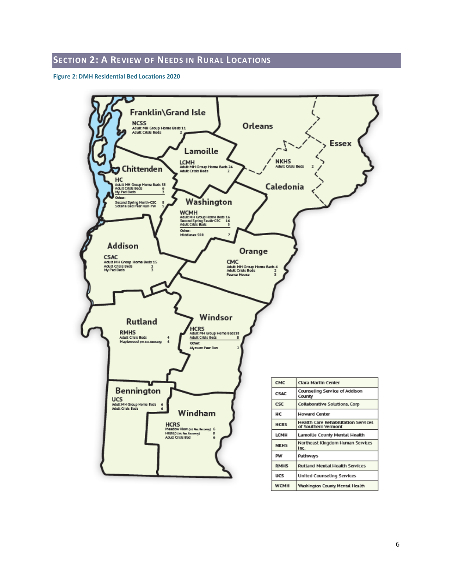#### <span id="page-6-0"></span>**SECTION 2: A REVIEW OF NEEDS IN RURAL LOCATIONS**

**Figure 2: DMH Residential Bed Locations 2020**

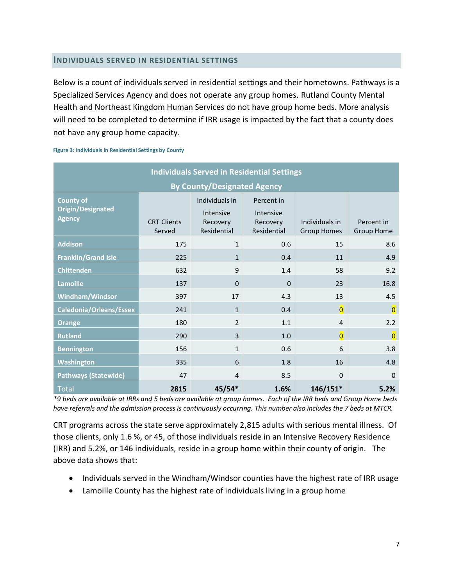#### <span id="page-7-0"></span>**INDIVIDUALS SERVED IN RESIDENTIAL SETTINGS**

Below is a count of individuals served in residential settings and their hometowns. Pathways is a Specialized Services Agency and does not operate any group homes. Rutland County Mental Health and Northeast Kingdom Human Services do not have group home beds. More analysis will need to be completed to determine if IRR usage is impacted by the fact that a county does not have any group home capacity.

**Figure 3: Individuals in Residential Settings by County**

| <b>Individuals Served in Residential Settings</b>             |                              |                                                        |                                                    |                                      |                                 |  |  |
|---------------------------------------------------------------|------------------------------|--------------------------------------------------------|----------------------------------------------------|--------------------------------------|---------------------------------|--|--|
| <b>By County/Designated Agency</b>                            |                              |                                                        |                                                    |                                      |                                 |  |  |
| <b>County of</b><br><b>Origin/Designated</b><br><b>Agency</b> | <b>CRT Clients</b><br>Served | Individuals in<br>Intensive<br>Recovery<br>Residential | Percent in<br>Intensive<br>Recovery<br>Residential | Individuals in<br><b>Group Homes</b> | Percent in<br><b>Group Home</b> |  |  |
| <b>Addison</b>                                                | 175                          | $\mathbf{1}$                                           | 0.6                                                | 15                                   | 8.6                             |  |  |
| <b>Franklin/Grand Isle</b>                                    | 225                          | $\mathbf{1}$                                           | 0.4                                                | 11                                   | 4.9                             |  |  |
| <b>Chittenden</b>                                             | 632                          | 9                                                      | 1.4                                                | 58                                   | 9.2                             |  |  |
| <b>Lamoille</b>                                               | 137                          | $\Omega$                                               | $\Omega$                                           | 23                                   | 16.8                            |  |  |
| Windham/Windsor                                               | 397                          | 17                                                     | 4.3                                                | 13                                   | 4.5                             |  |  |
| Caledonia/Orleans/Essex                                       | 241                          | $\mathbf{1}$                                           | 0.4                                                | $\overline{\mathbf{0}}$              | $\overline{\mathbf{0}}$         |  |  |
| <b>Orange</b>                                                 | 180                          | $\overline{2}$                                         | 1.1                                                | 4                                    | 2.2                             |  |  |
| <b>Rutland</b>                                                | 290                          | 3                                                      | 1.0                                                | $\overline{0}$                       | $\overline{0}$                  |  |  |
| <b>Bennington</b>                                             | 156                          | $\mathbf{1}$                                           | 0.6                                                | 6                                    | 3.8                             |  |  |
| Washington                                                    | 335                          | 6                                                      | 1.8                                                | 16                                   | 4.8                             |  |  |
| <b>Pathways (Statewide)</b>                                   | 47                           | $\overline{4}$                                         | 8.5                                                | $\Omega$                             | $\Omega$                        |  |  |
| Total                                                         | 2815                         | $45/54*$                                               | 1.6%                                               | $146/151*$                           | 5.2%                            |  |  |

*\*9 beds are available at IRRs and 5 beds are available at group homes. Each of the IRR beds and Group Home beds have referrals and the admission process is continuously occurring. This number also includes the 7 beds at MTCR.*

CRT programs across the state serve approximately 2,815 adults with serious mental illness. Of those clients, only 1.6 %, or 45, of those individuals reside in an Intensive Recovery Residence (IRR) and 5.2%, or 146 individuals, reside in a group home within their county of origin. The above data shows that:

- Individuals served in the Windham/Windsor counties have the highest rate of IRR usage
- Lamoille County has the highest rate of individuals living in a group home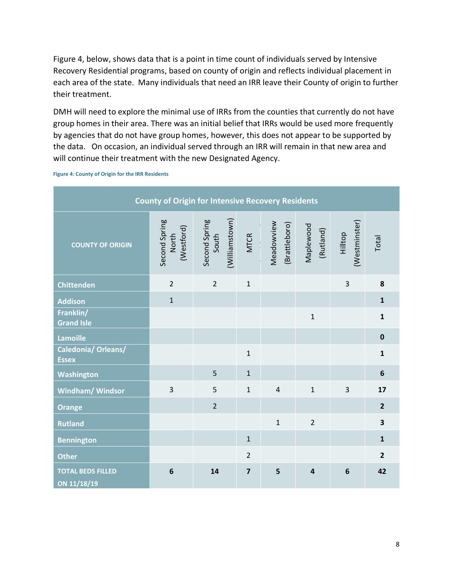Figure 4, below, shows data that is a point in time count of individuals served by Intensive Recovery Residential programs, based on county of origin and reflects individual placement in each area of the state. Many individuals that need an IRR leave their County of origin to further their treatment.

DMH will need to explore the minimal use of IRRs from the counties that currently do not have group homes in their area. There was an initial belief that IRRs would be used more frequently by agencies that do not have group homes, however, this does not appear to be supported by the data. On occasion, an individual served through an IRR will remain in that new area and will continue their treatment with the new Designated Agency.

**County of Origin for Intensive Recovery Residents** Second Spring<br>South Second Spring Second Spring (Williamstown) (Williamstown) (Westminster) (Westminster) Meadowview (Brattleboro) (Brattleboro) Maplewood (Westford) (Rutland) Hilltop MTCR North Total **COUNTY OF ORIGIN Chittenden** 2 2 1 3 **8 Addison** 1 **1 Franklin/** 1 **1 Grand Isle Lamoille 0 Caledonia/ Orleans/** 1 **1 Essex Washington** 5 1 **6 Windham/ Windsor** 3 5 1 4 1 3 **17 Orange** 2 **2 Rutland** 1 2 **3 Bennington** 1 **1 1 1 1 Other** 2 **2 TOTAL BEDS FILLED 6 14 7 5 4 6 42ON 11/18/19**

**Figure 4: County of Origin for the IRR Residents**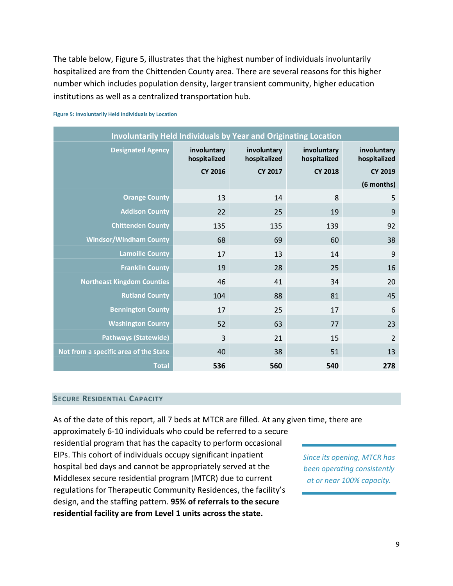The table below, Figure 5, illustrates that the highest number of individuals involuntarily hospitalized are from the Chittenden County area. There are several reasons for this higher number which includes population density, larger transient community, higher education institutions as well as a centralized transportation hub.

| <b>Involuntarily Held Individuals by Year and Originating Location</b> |                             |                             |                             |                             |  |  |
|------------------------------------------------------------------------|-----------------------------|-----------------------------|-----------------------------|-----------------------------|--|--|
| <b>Designated Agency</b>                                               | involuntary<br>hospitalized | involuntary<br>hospitalized | involuntary<br>hospitalized | involuntary<br>hospitalized |  |  |
|                                                                        | <b>CY 2016</b>              | <b>CY 2017</b>              | <b>CY 2018</b>              | <b>CY 2019</b>              |  |  |
|                                                                        |                             |                             |                             | (6 months)                  |  |  |
| <b>Orange County</b>                                                   | 13                          | 14                          | 8                           | 5                           |  |  |
| <b>Addison County</b>                                                  | 22                          | 25                          | 19                          | 9                           |  |  |
| <b>Chittenden County</b>                                               | 135                         | 135                         | 139                         | 92                          |  |  |
| <b>Windsor/Windham County</b>                                          | 68                          | 69                          | 60                          | 38                          |  |  |
| <b>Lamoille County</b>                                                 | 17                          | 13                          | 14                          | 9                           |  |  |
| <b>Franklin County</b>                                                 | 19                          | 28                          | 25                          | 16                          |  |  |
| <b>Northeast Kingdom Counties</b>                                      | 46                          | 41                          | 34                          | 20                          |  |  |
| <b>Rutland County</b>                                                  | 104                         | 88                          | 81                          | 45                          |  |  |
| <b>Bennington County</b>                                               | 17                          | 25                          | 17                          | 6                           |  |  |
| <b>Washington County</b>                                               | 52                          | 63                          | 77                          | 23                          |  |  |
| <b>Pathways (Statewide)</b>                                            | $\overline{3}$              | 21                          | 15                          | $\overline{2}$              |  |  |
| Not from a specific area of the State                                  | 40                          | 38                          | 51                          | 13                          |  |  |
| <b>Total</b>                                                           | 536                         | 560                         | 540                         | 278                         |  |  |

#### **Figure 5: Involuntarily Held Individuals by Location**

#### <span id="page-9-0"></span>**SECURE RESIDENTIAL CAPACITY**

As of the date of this report, all 7 beds at MTCR are filled. At any given time, there are

approximately 6-10 individuals who could be referred to a secure residential program that has the capacity to perform occasional EIPs. This cohort of individuals occupy significant inpatient hospital bed days and cannot be appropriately served at the Middlesex secure residential program (MTCR) due to current regulations for Therapeutic Community Residences, the facility's design, and the staffing pattern. **95% of referrals to the secure residential facility are from Level 1 units across the state.**

*Since its opening, MTCR has been operating consistently at or near 100% capacity.*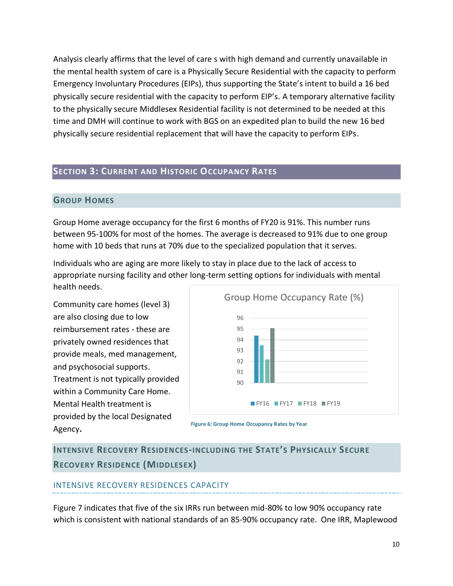Analysis clearly affirms that the level of care s with high demand and currently unavailable in the mental health system of care is a Physically Secure Residential with the capacity to perform Emergency Involuntary Procedures (EIPs), thus supporting the State's intent to build a 16 bed physically secure residential with the capacity to perform EIP's. A temporary alternative facility to the physically secure Middlesex Residential facility is not determined to be needed at this time and DMH will continue to work with BGS on an expedited plan to build the new 16 bed physically secure residential replacement that will have the capacity to perform EIPs.

#### <span id="page-10-1"></span><span id="page-10-0"></span>**SECTION 3: CURRENT AND HISTORIC OCCUPANCY RATES**

#### **GROUP HOMES**

Group Home average occupancy for the first 6 months of FY20 is 91%. This number runs between 95-100% for most of the homes. The average is decreased to 91% due to one group home with 10 beds that runs at 70% due to the specialized population that it serves.

Individuals who are aging are more likely to stay in place due to the lack of access to appropriate nursing facility and other long-term setting options for individuals with mental health needs.

Community care homes (level 3) are also closing due to low reimbursement rates - these are privately owned residences that provide meals, med management, and psychosocial supports. Treatment is not typically provided within a Community Care Home. Mental Health treatment is provided by the local Designated Agency**.** 



**Figure 6: Group Home Occupancy Rates by Year**

<span id="page-10-2"></span>**INTENSIVE RECOVERY RESIDENCES-INCLUDING THE STATE'S PHYSICALLY SECURE RECOVERY RESIDENCE (MIDDLESEX)**

#### INTENSIVE RECOVERY RESIDENCES CAPACITY

Figure 7 indicates that five of the six IRRs run between mid-80% to low 90% occupancy rate which is consistent with national standards of an 85-90% occupancy rate. One IRR, Maplewood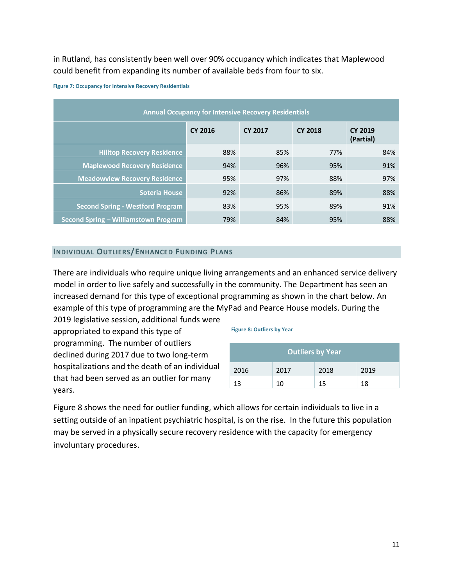in Rutland, has consistently been well over 90% occupancy which indicates that Maplewood could benefit from expanding its number of available beds from four to six.

| <b>Annual Occupancy for Intensive Recovery Residentials</b> |                |                |                |                             |  |  |  |
|-------------------------------------------------------------|----------------|----------------|----------------|-----------------------------|--|--|--|
|                                                             | <b>CY 2016</b> | <b>CY 2017</b> | <b>CY 2018</b> | <b>CY 2019</b><br>(Partial) |  |  |  |
| <b>Hilltop Recovery Residence</b>                           | 88%            | 85%            | 77%            | 84%                         |  |  |  |
| <b>Maplewood Recovery Residence</b>                         | 94%            | 96%            | 95%            | 91%                         |  |  |  |
| <b>Meadowview Recovery Residence</b>                        | 95%            | 97%            | 88%            | 97%                         |  |  |  |
| <b>Soteria House</b>                                        | 92%            | 86%            | 89%            | 88%                         |  |  |  |
| <b>Second Spring - Westford Program</b>                     | 83%            | 95%            | 89%            | 91%                         |  |  |  |
| Second Spring - Williamstown Program                        | 79%            | 84%            | 95%            | 88%                         |  |  |  |
|                                                             |                |                |                |                             |  |  |  |

#### **Figure 7: Occupancy for Intensive Recovery Residentials**

#### <span id="page-11-0"></span>**INDIVIDUAL OUTLIERS/ENHANCED FUNDING PLANS**

There are individuals who require unique living arrangements and an enhanced service delivery model in order to live safely and successfully in the community. The Department has seen an increased demand for this type of exceptional programming as shown in the chart below. An example of this type of programming are the MyPad and Pearce House models. During the

2019 legislative session, additional funds were appropriated to expand this type of programming. The number of outliers declined during 2017 due to two long-term hospitalizations and the death of an individual that had been served as an outlier for many years.

#### **Figure 8: Outliers by Year**

| <b>Outliers by Year</b> |      |      |      |  |  |  |
|-------------------------|------|------|------|--|--|--|
| 2016                    | 2017 | 2018 | 2019 |  |  |  |
| 13                      | 10   | 15   | 18   |  |  |  |

<span id="page-11-1"></span>Figure 8 shows the need for outlier funding, which allows for certain individuals to live in a setting outside of an inpatient psychiatric hospital, is on the rise. In the future this population may be served in a physically secure recovery residence with the capacity for emergency involuntary procedures.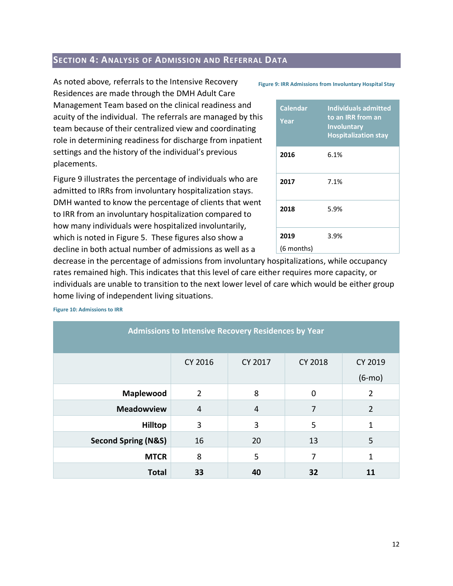## **SECTION 4: ANALYSIS OF ADMISSION AND REFERRAL DATA**

As noted above*,* referrals to the Intensive Recovery Residences are made through the DMH Adult Care Management Team based on the clinical readiness and acuity of the individual. The referrals are managed by this team because of their centralized view and coordinating role in determining readiness for discharge from inpatient settings and the history of the individual's previous placements.

Figure 9 illustrates the percentage of individuals who are admitted to IRRs from involuntary hospitalization stays. DMH wanted to know the percentage of clients that went to IRR from an involuntary hospitalization compared to how many individuals were hospitalized involuntarily, which is noted in Figure 5. These figures also show a decline in both actual number of admissions as well as a

#### **Figure 9: IRR Admissions from Involuntary Hospital Stay**

| <b>Calendar</b><br>Year | <b>Individuals admitted</b><br>to an IRR from an<br><b>Involuntary</b><br><b>Hospitalization stay</b> |
|-------------------------|-------------------------------------------------------------------------------------------------------|
| 2016                    | 6.1%                                                                                                  |
| 2017                    | 7.1%                                                                                                  |
| 2018                    | 5.9%                                                                                                  |
| 2019                    | 3.9%                                                                                                  |
| (6 months)              |                                                                                                       |

decrease in the percentage of admissions from involuntary hospitalizations, while occupancy rates remained high. This indicates that this level of care either requires more capacity, or individuals are unable to transition to the next lower level of care which would be either group home living of independent living situations.

<span id="page-12-0"></span>

| <b>Admissions to Intensive Recovery Residences by Year</b> |                |         |                |                |  |  |  |
|------------------------------------------------------------|----------------|---------|----------------|----------------|--|--|--|
|                                                            | CY 2016        | CY 2017 | <b>CY 2018</b> | CY 2019        |  |  |  |
|                                                            |                |         |                | $(6-mo)$       |  |  |  |
| Maplewood                                                  | $\overline{2}$ | 8       | 0              | $\overline{2}$ |  |  |  |
| <b>Meadowview</b>                                          | $\overline{4}$ | 4       | 7              | $\overline{2}$ |  |  |  |
| <b>Hilltop</b>                                             | 3              | 3       | 5              | 1              |  |  |  |
| <b>Second Spring (N&amp;S)</b>                             | 13             | 5       |                |                |  |  |  |
| <b>MTCR</b>                                                | 8              | 5       | 7              | 1              |  |  |  |
| <b>Total</b><br>33<br>40<br>32<br>11                       |                |         |                |                |  |  |  |

**Figure 10: Admissions to IRR**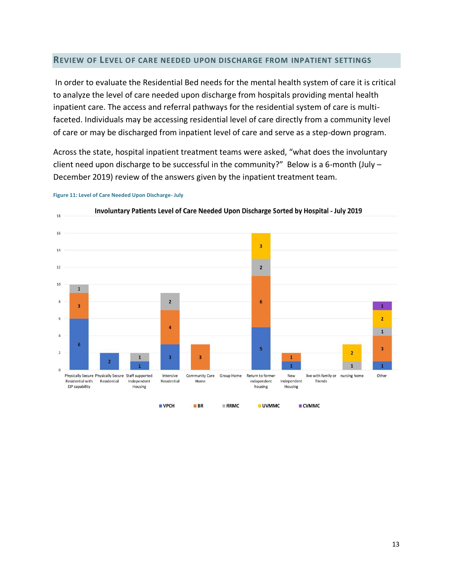#### **REVIEW OF LEVEL OF CARE NEEDED UPON DISCHARGE FROM INPATIENT SETTINGS**

In order to evaluate the Residential Bed needs for the mental health system of care it is critical to analyze the level of care needed upon discharge from hospitals providing mental health inpatient care. The access and referral pathways for the residential system of care is multifaceted. Individuals may be accessing residential level of care directly from a community level of care or may be discharged from inpatient level of care and serve as a step-down program.

Across the state, hospital inpatient treatment teams were asked, "what does the involuntary client need upon discharge to be successful in the community?" Below is a 6-month (July  $-$ December 2019) review of the answers given by the inpatient treatment team.



**Figure 11: Level of Care Needed Upon Discharge- July**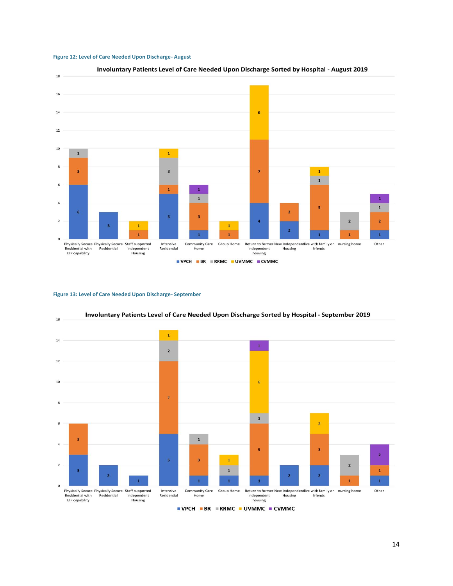



#### **Figure 13: Level of Care Needed Upon Discharge- September**

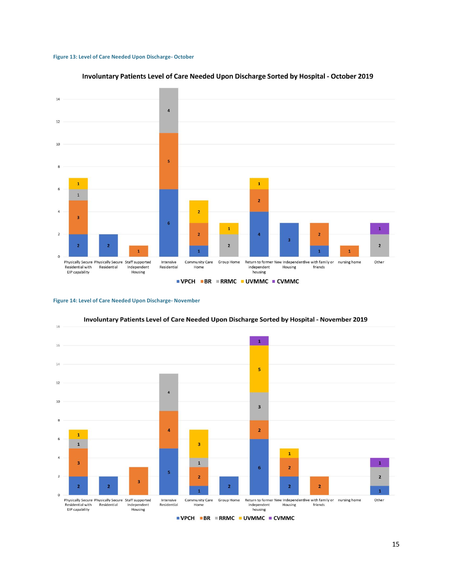#### **Figure 13: Level of Care Needed Upon Discharge- October**



#### Involuntary Patients Level of Care Needed Upon Discharge Sorted by Hospital - October 2019

#### **Figure 14: Level of Care Needed Upon Discharge- November**



Involuntary Patients Level of Care Needed Upon Discharge Sorted by Hospital - November 2019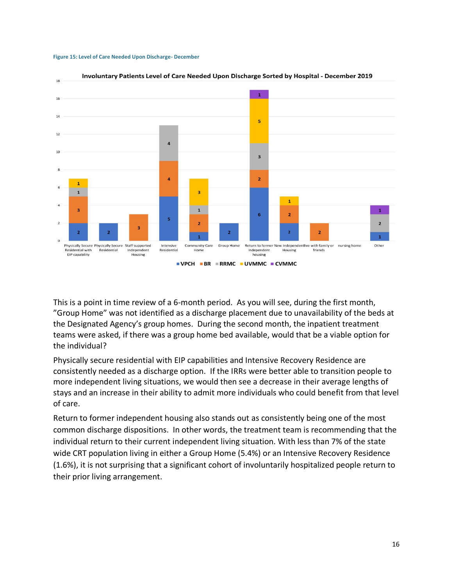



# This is a point in time review of a 6-month period. As you will see, during the first month, "Group Home" was not identified as a discharge placement due to unavailability of the beds at the Designated Agency's group homes. During the second month, the inpatient treatment teams were asked, if there was a group home bed available, would that be a viable option for the individual?

Physically secure residential with EIP capabilities and Intensive Recovery Residence are consistently needed as a discharge option. If the IRRs were better able to transition people to more independent living situations, we would then see a decrease in their average lengths of stays and an increase in their ability to admit more individuals who could benefit from that level of care.

<span id="page-16-0"></span>Return to former independent housing also stands out as consistently being one of the most common discharge dispositions. In other words, the treatment team is recommending that the individual return to their current independent living situation. With less than 7% of the state wide CRT population living in either a Group Home (5.4%) or an Intensive Recovery Residence (1.6%), it is not surprising that a significant cohort of involuntarily hospitalized people return to their prior living arrangement.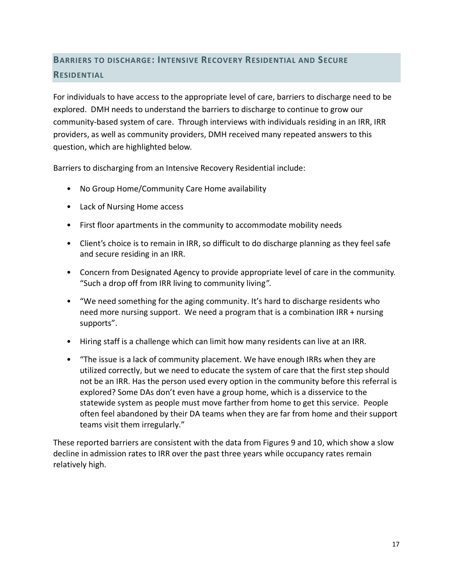# **BARRIERS TO DISCHARGE: INTENSIVE RECOVERY RESIDENTIAL AND SECURE RESIDENTIAL**

For individuals to have access to the appropriate level of care, barriers to discharge need to be explored. DMH needs to understand the barriers to discharge to continue to grow our community-based system of care. Through interviews with individuals residing in an IRR, IRR providers, as well as community providers, DMH received many repeated answers to this question, which are highlighted below.

Barriers to discharging from an Intensive Recovery Residential include:

- No Group Home/Community Care Home availability
- Lack of Nursing Home access
- First floor apartments in the community to accommodate mobility needs
- Client's choice is to remain in IRR, so difficult to do discharge planning as they feel safe and secure residing in an IRR.
- Concern from Designated Agency to provide appropriate level of care in the community. "Such a drop off from IRR living to community living".
- "We need something for the aging community. It's hard to discharge residents who need more nursing support. We need a program that is a combination IRR + nursing supports".
- Hiring staff is a challenge which can limit how many residents can live at an IRR.
- "The issue is a lack of community placement. We have enough IRRs when they are utilized correctly, but we need to educate the system of care that the first step should not be an IRR. Has the person used every option in the community before this referral is explored? Some DAs don't even have a group home, which is a disservice to the statewide system as people must move farther from home to get this service. People often feel abandoned by their DA teams when they are far from home and their support teams visit them irregularly."

These reported barriers are consistent with the data from Figures 9 and 10, which show a slow decline in admission rates to IRR over the past three years while occupancy rates remain relatively high.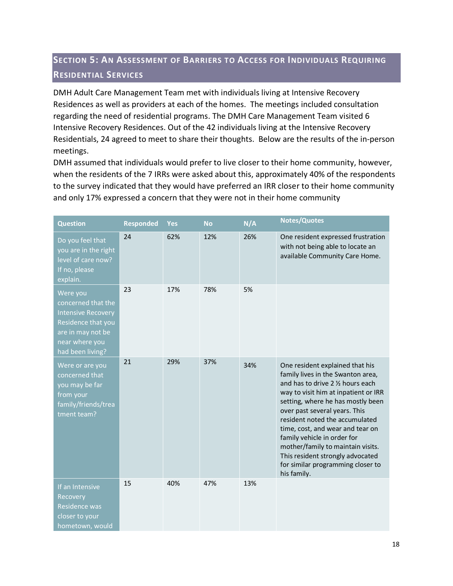# <span id="page-18-0"></span>**SECTION 5: AN ASSESSMENT OF BARRIERS TO ACCESS FOR INDIVIDUALS REQUIRING RESIDENTIAL SERVICES**

DMH Adult Care Management Team met with individuals living at Intensive Recovery Residences as well as providers at each of the homes. The meetings included consultation regarding the need of residential programs. The DMH Care Management Team visited 6 Intensive Recovery Residences. Out of the 42 individuals living at the Intensive Recovery Residentials, 24 agreed to meet to share their thoughts. Below are the results of the in-person meetings.

DMH assumed that individuals would prefer to live closer to their home community, however, when the residents of the 7 IRRs were asked about this, approximately 40% of the respondents to the survey indicated that they would have preferred an IRR closer to their home community and only 17% expressed a concern that they were not in their home community

| <b>Question</b>                                                                                                                              | <b>Responded</b> | Yes | <b>No</b> | N/A | <b>Notes/Quotes</b>                                                                                                                                                                                                                                                                                                                                                                                                                                       |
|----------------------------------------------------------------------------------------------------------------------------------------------|------------------|-----|-----------|-----|-----------------------------------------------------------------------------------------------------------------------------------------------------------------------------------------------------------------------------------------------------------------------------------------------------------------------------------------------------------------------------------------------------------------------------------------------------------|
| Do you feel that<br>you are in the right<br>level of care now?<br>If no, please<br>explain.                                                  | 24               | 62% | 12%       | 26% | One resident expressed frustration<br>with not being able to locate an<br>available Community Care Home.                                                                                                                                                                                                                                                                                                                                                  |
| Were you<br>concerned that the<br><b>Intensive Recovery</b><br>Residence that you<br>are in may not be<br>near where you<br>had been living? | 23               | 17% | 78%       | 5%  |                                                                                                                                                                                                                                                                                                                                                                                                                                                           |
| Were or are you<br>concerned that<br>you may be far<br>from your<br>family/friends/trea<br>tment team?                                       | 21               | 29% | 37%       | 34% | One resident explained that his<br>family lives in the Swanton area,<br>and has to drive 2 1/2 hours each<br>way to visit him at inpatient or IRR<br>setting, where he has mostly been<br>over past several years. This<br>resident noted the accumulated<br>time, cost, and wear and tear on<br>family vehicle in order for<br>mother/family to maintain visits.<br>This resident strongly advocated<br>for similar programming closer to<br>his family. |
| If an Intensive<br>Recovery<br>Residence was<br>closer to your<br>hometown, would                                                            | 15               | 40% | 47%       | 13% |                                                                                                                                                                                                                                                                                                                                                                                                                                                           |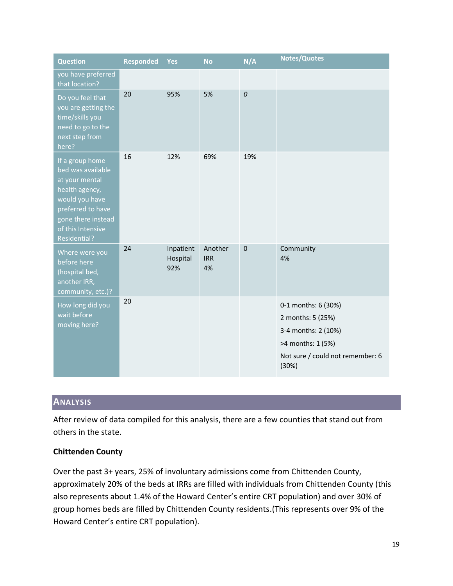| <b>Question</b>                                                                                                                                                                   | <b>Responded</b> | <b>Yes</b>                   | <b>No</b>                   | N/A         | <b>Notes/Quotes</b>                                                                                                               |
|-----------------------------------------------------------------------------------------------------------------------------------------------------------------------------------|------------------|------------------------------|-----------------------------|-------------|-----------------------------------------------------------------------------------------------------------------------------------|
| you have preferred<br>that location?                                                                                                                                              |                  |                              |                             |             |                                                                                                                                   |
| Do you feel that<br>you are getting the<br>time/skills you<br>need to go to the<br>next step from<br>here?                                                                        | 20               | 95%                          | 5%                          | 0           |                                                                                                                                   |
| If a group home<br>bed was available<br>at your mental<br>health agency,<br>would you have<br>preferred to have<br>gone there instead<br>of this Intensive<br><b>Residential?</b> | 16               | 12%                          | 69%                         | 19%         |                                                                                                                                   |
| Where were you<br>before here<br>(hospital bed,<br>another IRR,<br>community, etc.)?                                                                                              | 24               | Inpatient<br>Hospital<br>92% | Another<br><b>IRR</b><br>4% | $\mathbf 0$ | Community<br>4%                                                                                                                   |
| How long did you<br>wait before<br>moving here?                                                                                                                                   | 20               |                              |                             |             | 0-1 months: 6 (30%)<br>2 months: 5 (25%)<br>3-4 months: 2 (10%)<br>>4 months: 1 (5%)<br>Not sure / could not remember: 6<br>(30%) |

# <span id="page-19-0"></span>**ANALYSIS**

After review of data compiled for this analysis, there are a few counties that stand out from others in the state.

## **Chittenden County**

Over the past 3+ years, 25% of involuntary admissions come from Chittenden County, approximately 20% of the beds at IRRs are filled with individuals from Chittenden County (this also represents about 1.4% of the Howard Center's entire CRT population) and over 30% of group homes beds are filled by Chittenden County residents.(This represents over 9% of the Howard Center's entire CRT population).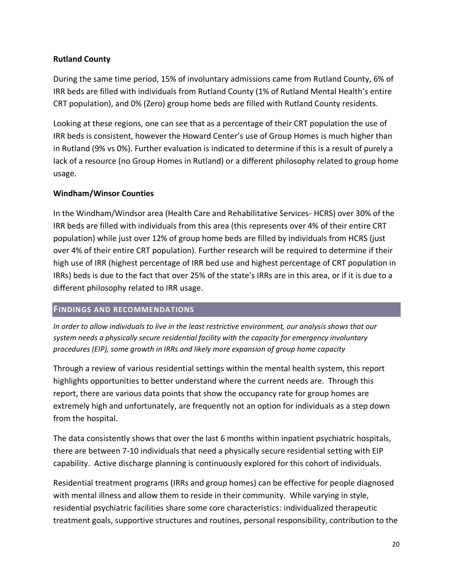## **Rutland County**

During the same time period, 15% of involuntary admissions came from Rutland County, 6% of IRR beds are filled with individuals from Rutland County (1% of Rutland Mental Health's entire CRT population), and 0% (Zero) group home beds are filled with Rutland County residents.

Looking at these regions, one can see that as a percentage of their CRT population the use of IRR beds is consistent, however the Howard Center's use of Group Homes is much higher than in Rutland (9% vs 0%). Further evaluation is indicated to determine if this is a result of purely a lack of a resource (no Group Homes in Rutland) or a different philosophy related to group home usage.

## **Windham/Winsor Counties**

In the Windham/Windsor area (Health Care and Rehabilitative Services- HCRS) over 30% of the IRR beds are filled with individuals from this area (this represents over 4% of their entire CRT population) while just over 12% of group home beds are filled by individuals from HCRS (just over 4% of their entire CRT population). Further research will be required to determine if their high use of IRR (highest percentage of IRR bed use and highest percentage of CRT population in IRRs) beds is due to the fact that over 25% of the state's IRRs are in this area, or if it is due to a different philosophy related to IRR usage.

## <span id="page-20-0"></span>**FINDINGS AND RECOMMENDATIONS**

*In order to allow individuals to live in the least restrictive environment, our analysis shows that our system needs a physically secure residential facility with the capacity for emergency involuntary procedures (EIP), some growth in IRRs and likely more expansion of group home capacity* 

Through a review of various residential settings within the mental health system, this report highlights opportunities to better understand where the current needs are. Through this report, there are various data points that show the occupancy rate for group homes are extremely high and unfortunately, are frequently not an option for individuals as a step down from the hospital.

The data consistently shows that over the last 6 months within inpatient psychiatric hospitals, there are between 7-10 individuals that need a physically secure residential setting with EIP capability. Active discharge planning is continuously explored for this cohort of individuals.

Residential treatment programs (IRRs and group homes) can be effective for people diagnosed with mental illness and allow them to reside in their community. While varying in style, residential psychiatric facilities share some core characteristics: individualized therapeutic treatment goals, supportive structures and routines, personal responsibility, contribution to the